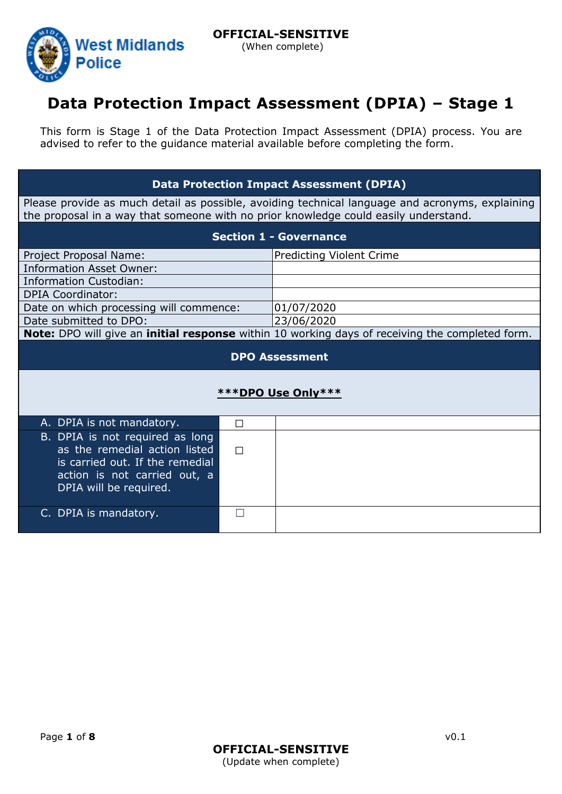

# **Data Protection Impact Assessment (DPIA) – Stage 1**

This form is Stage 1 of the Data Protection Impact Assessment (DPIA) process. You are advised to refer to the guidance material available before completing the form.

### **Data Protection Impact Assessment (DPIA)**

Please provide as much detail as possible, avoiding technical language and acronyms, explaining the proposal in a way that someone with no prior knowledge could easily understand.

| <b>Section 1 - Governance</b>                                                                                                                                 |   |                                                                                                 |  |  |  |  |
|---------------------------------------------------------------------------------------------------------------------------------------------------------------|---|-------------------------------------------------------------------------------------------------|--|--|--|--|
| Project Proposal Name:                                                                                                                                        |   | <b>Predicting Violent Crime</b>                                                                 |  |  |  |  |
| <b>Information Asset Owner:</b>                                                                                                                               |   |                                                                                                 |  |  |  |  |
| <b>Information Custodian:</b>                                                                                                                                 |   |                                                                                                 |  |  |  |  |
| <b>DPIA Coordinator:</b>                                                                                                                                      |   |                                                                                                 |  |  |  |  |
| Date on which processing will commence:                                                                                                                       |   | 01/07/2020                                                                                      |  |  |  |  |
| Date submitted to DPO:                                                                                                                                        |   | 23/06/2020                                                                                      |  |  |  |  |
|                                                                                                                                                               |   | Note: DPO will give an initial response within 10 working days of receiving the completed form. |  |  |  |  |
| <b>DPO Assessment</b>                                                                                                                                         |   |                                                                                                 |  |  |  |  |
| ***DPO Use Only***                                                                                                                                            |   |                                                                                                 |  |  |  |  |
| A. DPIA is not mandatory.                                                                                                                                     | П |                                                                                                 |  |  |  |  |
| B. DPIA is not required as long<br>as the remedial action listed<br>is carried out. If the remedial<br>action is not carried out, a<br>DPIA will be required. | П |                                                                                                 |  |  |  |  |
| C. DPIA is mandatory.                                                                                                                                         |   |                                                                                                 |  |  |  |  |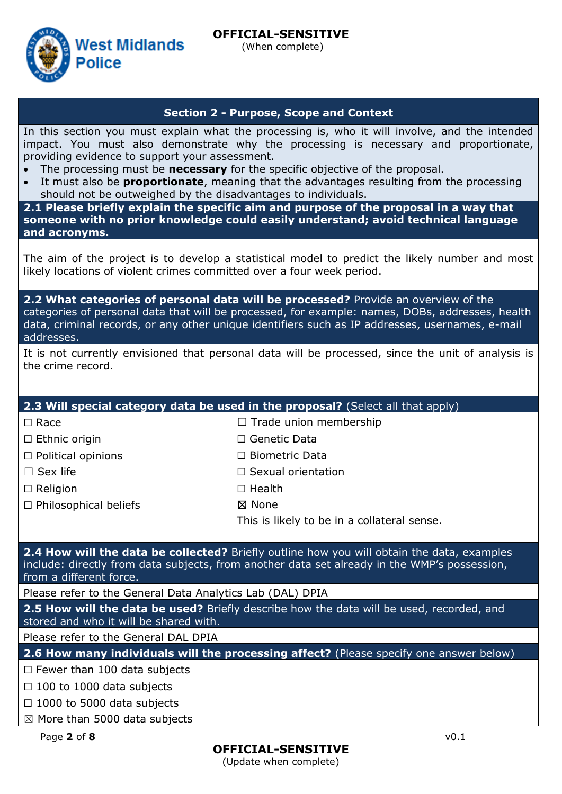#### **OFFICIAL-SENSITIVE** (When complete)

**West Midlands Police** 

### **Section 2 - Purpose, Scope and Context**

In this section you must explain what the processing is, who it will involve, and the intended impact. You must also demonstrate why the processing is necessary and proportionate, providing evidence to support your assessment.

- The processing must be **necessary** for the specific objective of the proposal.
- It must also be **proportionate**, meaning that the advantages resulting from the processing should not be outweighed by the disadvantages to individuals.

**2.1 Please briefly explain the specific aim and purpose of the proposal in a way that someone with no prior knowledge could easily understand; avoid technical language and acronyms.**

The aim of the project is to develop a statistical model to predict the likely number and most likely locations of violent crimes committed over a four week period.

**2.2 What categories of personal data will be processed?** Provide an overview of the categories of personal data that will be processed, for example: names, DOBs, addresses, health data, criminal records, or any other unique identifiers such as IP addresses, usernames, e-mail addresses.

|                   | It is not currently envisioned that personal data will be processed, since the unit of analysis is |  |  |  |  |  |  |
|-------------------|----------------------------------------------------------------------------------------------------|--|--|--|--|--|--|
| the crime record. |                                                                                                    |  |  |  |  |  |  |

☐ Biometric Data ☐ Sexual orientation

#### **2.3 Will special category data be used in the proposal?** (Select all that apply) ☐ Race □ Ethnic origin □ Trade union membership ☐ Genetic Data

☐ Political opinions

□ Sex life

□ Religion

☐ Philosophical beliefs

☐ Health ☒ None

This is likely to be in a collateral sense.

**2.4 How will the data be collected?** Briefly outline how you will obtain the data, examples include: directly from data subjects, from another data set already in the WMP's possession, from a different force.

Please refer to the General Data Analytics Lab (DAL) DPIA

**2.5 How will the data be used?** Briefly describe how the data will be used, recorded, and stored and who it will be shared with.

Please refer to the General DAL DPIA

**2.6 How many individuals will the processing affect?** (Please specify one answer below)

 $\Box$  Fewer than 100 data subjects

 $\Box$  100 to 1000 data subjects

 $\Box$  1000 to 5000 data subjects

☒ More than 5000 data subjects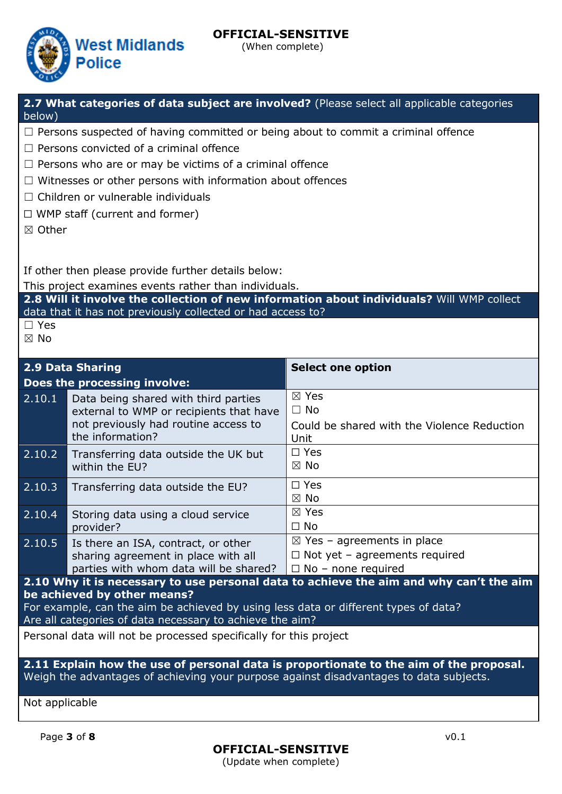

(When complete)

**2.7 What categories of data subject are involved?** (Please select all applicable categories below)

- □ Persons suspected of having committed or being about to commit a criminal offence
- $\Box$  Persons convicted of a criminal offence
- $\Box$  Persons who are or may be victims of a criminal offence
- □ Witnesses or other persons with information about offences
- ☐ Children or vulnerable individuals
- ☐ WMP staff (current and former)
- ☒ Other

If other then please provide further details below:

This project examines events rather than individuals.

**2.8 Will it involve the collection of new information about individuals?** Will WMP collect data that it has not previously collected or had access to?

☐ Yes

☒ No

| 2.9 Data Sharing                                                                                                                                                                                                                                                         |                                                                                                                                             | <b>Select one option</b>                                                                                   |  |  |  |  |
|--------------------------------------------------------------------------------------------------------------------------------------------------------------------------------------------------------------------------------------------------------------------------|---------------------------------------------------------------------------------------------------------------------------------------------|------------------------------------------------------------------------------------------------------------|--|--|--|--|
|                                                                                                                                                                                                                                                                          | Does the processing involve:                                                                                                                |                                                                                                            |  |  |  |  |
| 2.10.1                                                                                                                                                                                                                                                                   | Data being shared with third parties<br>external to WMP or recipients that have<br>not previously had routine access to<br>the information? | $\boxtimes$ Yes<br>$\Box$ No<br>Could be shared with the Violence Reduction<br>Unit                        |  |  |  |  |
| 2.10.2                                                                                                                                                                                                                                                                   | Transferring data outside the UK but<br>within the EU?                                                                                      | $\Box$ Yes<br>$\boxtimes$ No                                                                               |  |  |  |  |
| 2.10.3                                                                                                                                                                                                                                                                   | Transferring data outside the EU?                                                                                                           | $\square$ Yes<br>$\boxtimes$ No                                                                            |  |  |  |  |
| 2.10.4                                                                                                                                                                                                                                                                   | Storing data using a cloud service<br>provider?                                                                                             | $\boxtimes$ Yes<br>$\Box$ No                                                                               |  |  |  |  |
|                                                                                                                                                                                                                                                                          | 2.10.5 Is there an ISA, contract, or other<br>sharing agreement in place with all<br>parties with whom data will be shared?                 | $\boxtimes$ Yes – agreements in place<br>$\Box$ Not yet – agreements required<br>$\Box$ No - none required |  |  |  |  |
| 2.10 Why it is necessary to use personal data to achieve the aim and why can't the aim<br>be achieved by other means?<br>For example, can the aim be achieved by using less data or different types of data?<br>Are all categories of data necessary to achieve the aim? |                                                                                                                                             |                                                                                                            |  |  |  |  |
| Personal data will not be processed specifically for this project                                                                                                                                                                                                        |                                                                                                                                             |                                                                                                            |  |  |  |  |
| 2.11 Explain how the use of personal data is proportionate to the aim of the proposal.<br>Watala klasi waliozisha wa nafisiali kitoka mwenye wa wana wakitaki aliasali isanka wa kundisha welata kuto                                                                    |                                                                                                                                             |                                                                                                            |  |  |  |  |

Weigh the advantages of achieving your purpose against disadvantages to data subjects.

Not applicable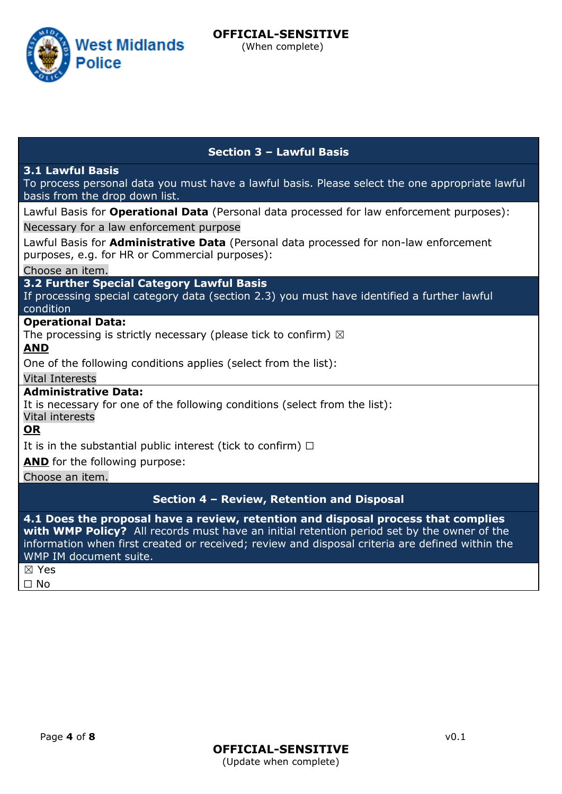West Midlands

**Police** 

#### **Section 3 – Lawful Basis**

#### **3.1 Lawful Basis**

To process personal data you must have a lawful basis. Please select the one appropriate lawful basis from the drop down list.

Lawful Basis for **Operational Data** (Personal data processed for law enforcement purposes): Necessary for a law enforcement purpose

Lawful Basis for **Administrative Data** (Personal data processed for non-law enforcement purposes, e.g. for HR or Commercial purposes):

Choose an item.

**3.2 Further Special Category Lawful Basis**

If processing special category data (section 2.3) you must have identified a further lawful condition

#### **Operational Data:**

The processing is strictly necessary (please tick to confirm)  $\boxtimes$ 

**AND**

One of the following conditions applies (select from the list):

Vital Interests

### **Administrative Data:**

It is necessary for one of the following conditions (select from the list):

Vital interests

**OR**

It is in the substantial public interest (tick to confirm)  $\Box$ 

**AND** for the following purpose:

Choose an item.

#### **Section 4 – Review, Retention and Disposal**

**4.1 Does the proposal have a review, retention and disposal process that complies with WMP Policy?** All records must have an initial retention period set by the owner of the information when first created or received; review and disposal criteria are defined within the WMP IM document suite. ☒ Yes

☐ No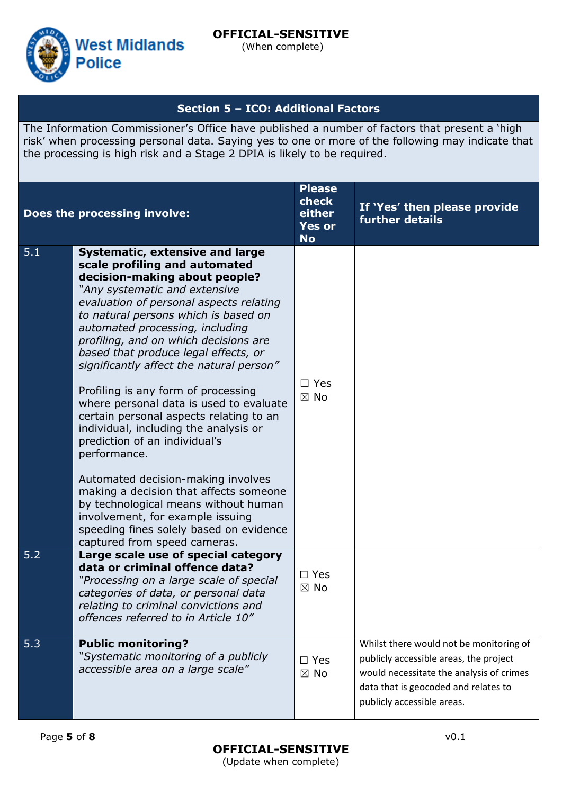

(When complete)

### **Section 5 – ICO: Additional Factors**

The Information Commissioner's Office have published a number of factors that present a 'high risk' when processing personal data. Saying yes to one or more of the following may indicate that the processing is high risk and a Stage 2 DPIA is likely to be required.

|     | Does the processing involve:                                                                                                                                                                                                                                                                                                                                                                                                                                                                                                                                                                                                                                                                                                                                                                                                                               | <b>Please</b><br>check<br>either<br><b>Yes or</b><br><b>No</b> | If 'Yes' then please provide<br>further details                                                                                                                                                     |
|-----|------------------------------------------------------------------------------------------------------------------------------------------------------------------------------------------------------------------------------------------------------------------------------------------------------------------------------------------------------------------------------------------------------------------------------------------------------------------------------------------------------------------------------------------------------------------------------------------------------------------------------------------------------------------------------------------------------------------------------------------------------------------------------------------------------------------------------------------------------------|----------------------------------------------------------------|-----------------------------------------------------------------------------------------------------------------------------------------------------------------------------------------------------|
| 5.1 | <b>Systematic, extensive and large</b><br>scale profiling and automated<br>decision-making about people?<br>"Any systematic and extensive<br>evaluation of personal aspects relating<br>to natural persons which is based on<br>automated processing, including<br>profiling, and on which decisions are<br>based that produce legal effects, or<br>significantly affect the natural person"<br>Profiling is any form of processing<br>where personal data is used to evaluate<br>certain personal aspects relating to an<br>individual, including the analysis or<br>prediction of an individual's<br>performance.<br>Automated decision-making involves<br>making a decision that affects someone<br>by technological means without human<br>involvement, for example issuing<br>speeding fines solely based on evidence<br>captured from speed cameras. | $\Box$ Yes<br>$\boxtimes$ No                                   |                                                                                                                                                                                                     |
| 5.2 | Large scale use of special category<br>data or criminal offence data?<br>"Processing on a large scale of special<br>categories of data, or personal data<br>relating to criminal convictions and<br>offences referred to in Article 10"                                                                                                                                                                                                                                                                                                                                                                                                                                                                                                                                                                                                                    | $\square$ Yes<br>$\boxtimes$ No                                |                                                                                                                                                                                                     |
| 5.3 | <b>Public monitoring?</b><br>"Systematic monitoring of a publicly<br>accessible area on a large scale"                                                                                                                                                                                                                                                                                                                                                                                                                                                                                                                                                                                                                                                                                                                                                     | $\square$ Yes<br>$\boxtimes$ No                                | Whilst there would not be monitoring of<br>publicly accessible areas, the project<br>would necessitate the analysis of crimes<br>data that is geocoded and relates to<br>publicly accessible areas. |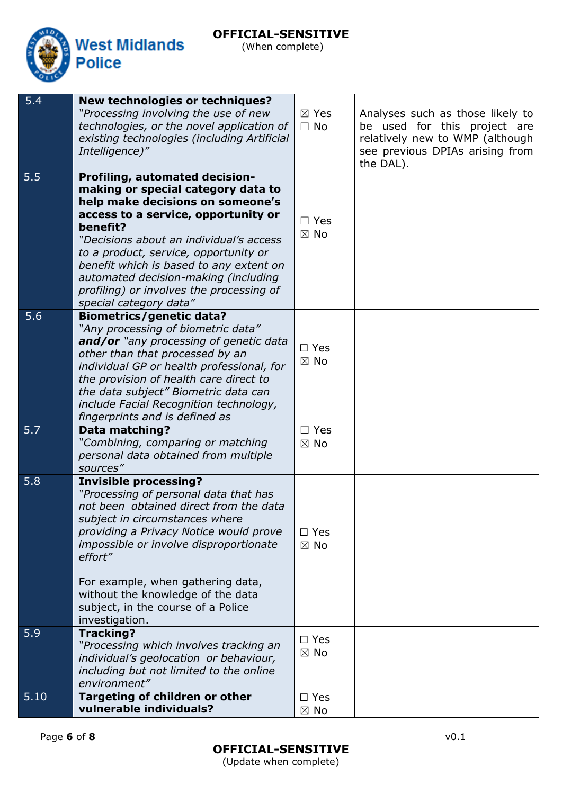### **OFFICIAL-SENSITIVE** (When complete)



| 5.4  | <b>New technologies or techniques?</b><br>"Processing involving the use of new<br>technologies, or the novel application of<br>existing technologies (including Artificial<br>Intelligence)"                                                                                                                                                                                                                    | $\boxtimes$ Yes<br>$\Box$ No    | Analyses such as those likely to<br>be used for this project are<br>relatively new to WMP (although<br>see previous DPIAs arising from<br>the DAL). |
|------|-----------------------------------------------------------------------------------------------------------------------------------------------------------------------------------------------------------------------------------------------------------------------------------------------------------------------------------------------------------------------------------------------------------------|---------------------------------|-----------------------------------------------------------------------------------------------------------------------------------------------------|
| 5.5  | <b>Profiling, automated decision-</b><br>making or special category data to<br>help make decisions on someone's<br>access to a service, opportunity or<br>benefit?<br>"Decisions about an individual's access<br>to a product, service, opportunity or<br>benefit which is based to any extent on<br>automated decision-making (including<br>profiling) or involves the processing of<br>special category data" | $\Box$ Yes<br>$\boxtimes$ No    |                                                                                                                                                     |
| 5.6  | <b>Biometrics/genetic data?</b><br>"Any processing of biometric data"<br>and/or "any processing of genetic data<br>other than that processed by an<br>individual GP or health professional, for<br>the provision of health care direct to<br>the data subject" Biometric data can<br>include Facial Recognition technology,<br>fingerprints and is defined as                                                   | $\square$ Yes<br>$\boxtimes$ No |                                                                                                                                                     |
| 5.7  | <b>Data matching?</b><br>"Combining, comparing or matching<br>personal data obtained from multiple<br>sources"                                                                                                                                                                                                                                                                                                  | $\Box$ Yes<br>$\boxtimes$ No    |                                                                                                                                                     |
| 5.8  | <b>Invisible processing?</b><br>"Processing of personal data that has<br>not been obtained direct from the data<br>subject in circumstances where<br>providing a Privacy Notice would prove<br>impossible or involve disproportionate<br>effort"<br>For example, when gathering data,<br>without the knowledge of the data<br>subject, in the course of a Police<br>investigation.                              | $\square$ Yes<br>$\boxtimes$ No |                                                                                                                                                     |
| 5.9  | <b>Tracking?</b><br>"Processing which involves tracking an<br>individual's geolocation or behaviour,<br>including but not limited to the online<br>environment"                                                                                                                                                                                                                                                 | $\square$ Yes<br>$\boxtimes$ No |                                                                                                                                                     |
| 5.10 | Targeting of children or other<br>vulnerable individuals?                                                                                                                                                                                                                                                                                                                                                       | $\square$ Yes<br>$\boxtimes$ No |                                                                                                                                                     |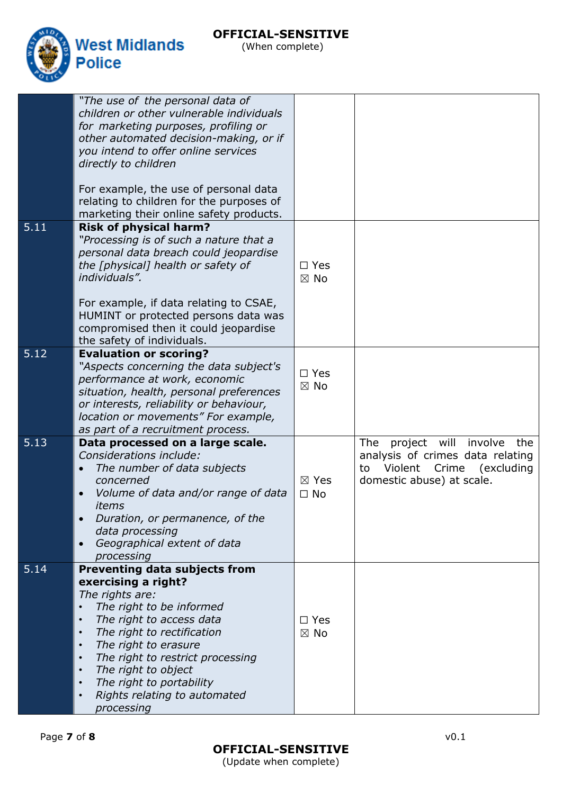

(When complete)

|      | "The use of the personal data of<br>children or other vulnerable individuals<br>for marketing purposes, profiling or<br>other automated decision-making, or if<br>you intend to offer online services<br>directly to children<br>For example, the use of personal data<br>relating to children for the purposes of<br>marketing their online safety products.                                                                      |                                 |                                                                                                                                             |
|------|------------------------------------------------------------------------------------------------------------------------------------------------------------------------------------------------------------------------------------------------------------------------------------------------------------------------------------------------------------------------------------------------------------------------------------|---------------------------------|---------------------------------------------------------------------------------------------------------------------------------------------|
| 5.11 | <b>Risk of physical harm?</b><br>"Processing is of such a nature that a<br>personal data breach could jeopardise<br>the [physical] health or safety of<br>individuals".<br>For example, if data relating to CSAE,<br>HUMINT or protected persons data was<br>compromised then it could jeopardise<br>the safety of individuals.                                                                                                    | $\Box$ Yes<br>$\boxtimes$ No    |                                                                                                                                             |
| 5.12 | <b>Evaluation or scoring?</b><br>"Aspects concerning the data subject's<br>performance at work, economic<br>situation, health, personal preferences<br>or interests, reliability or behaviour,<br>location or movements" For example,<br>as part of a recruitment process.                                                                                                                                                         | $\square$ Yes<br>$\boxtimes$ No |                                                                                                                                             |
| 5.13 | Data processed on a large scale.<br>Considerations include:<br>The number of data subjects<br>$\bullet$<br>concerned<br>Volume of data and/or range of data<br>items<br>Duration, or permanence, of the<br>data processing<br>Geographical extent of data<br>$\bullet$<br>processing                                                                                                                                               | $\boxtimes$ Yes<br>$\Box$ No    | The<br>will<br>project<br>involve<br>the<br>analysis of crimes data relating<br>Violent Crime (excluding<br>to<br>domestic abuse) at scale. |
| 5.14 | Preventing data subjects from<br>exercising a right?<br>The rights are:<br>The right to be informed<br>$\bullet$<br>The right to access data<br>$\bullet$<br>The right to rectification<br>$\bullet$<br>The right to erasure<br>$\bullet$<br>The right to restrict processing<br>$\bullet$<br>The right to object<br>$\bullet$<br>The right to portability<br>$\bullet$<br>Rights relating to automated<br>$\bullet$<br>processing | $\Box$ Yes<br>$\boxtimes$ No    |                                                                                                                                             |